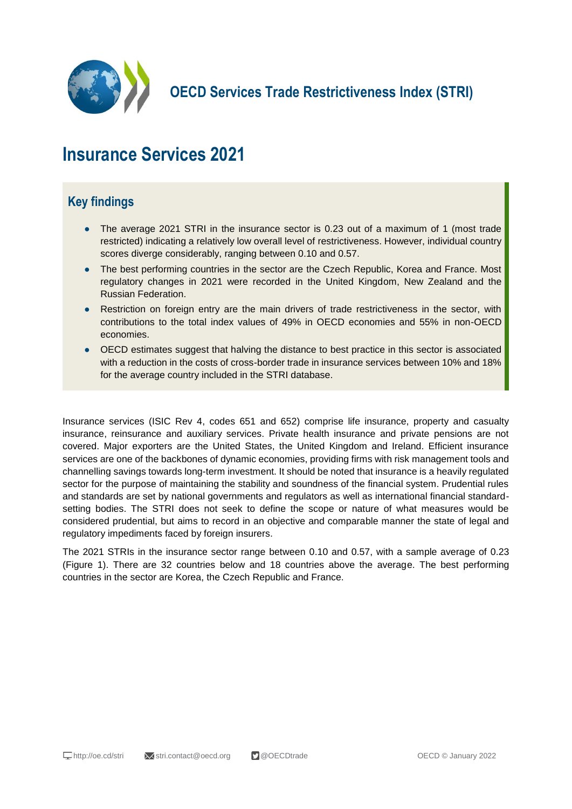

**OECD Services Trade Restrictiveness Index (STRI)**

# **Insurance Services 2021**

## **Key findings**

- The average 2021 STRI in the insurance sector is 0.23 out of a maximum of 1 (most trade restricted) indicating a relatively low overall level of restrictiveness. However, individual country scores diverge considerably, ranging between 0.10 and 0.57.
- The best performing countries in the sector are the Czech Republic, Korea and France. Most regulatory changes in 2021 were recorded in the United Kingdom, New Zealand and the Russian Federation.
- Restriction on foreign entry are the main drivers of trade restrictiveness in the sector, with contributions to the total index values of 49% in OECD economies and 55% in non-OECD economies.
- OECD estimates suggest that halving the distance to best practice in this sector is associated with a reduction in the costs of cross-border trade in insurance services between 10% and 18% for the average country included in the STRI database.

Insurance services (ISIC Rev 4, codes 651 and 652) comprise life insurance, property and casualty insurance, reinsurance and auxiliary services. Private health insurance and private pensions are not covered. Major exporters are the United States, the United Kingdom and Ireland. Efficient insurance services are one of the backbones of dynamic economies, providing firms with risk management tools and channelling savings towards long-term investment. It should be noted that insurance is a heavily regulated sector for the purpose of maintaining the stability and soundness of the financial system. Prudential rules and standards are set by national governments and regulators as well as international financial standardsetting bodies. The STRI does not seek to define the scope or nature of what measures would be considered prudential, but aims to record in an objective and comparable manner the state of legal and regulatory impediments faced by foreign insurers.

The 2021 STRIs in the insurance sector range between 0.10 and 0.57, with a sample average of 0.23 (Figure 1). There are 32 countries below and 18 countries above the average. The best performing countries in the sector are Korea, the Czech Republic and France.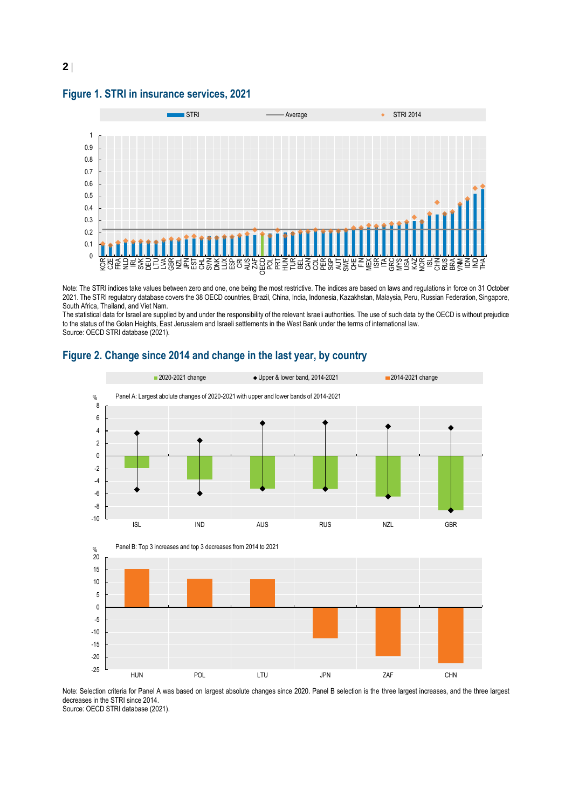**Figure 1. STRI in insurance services, 2021**

**2**



Note: The STRI indices take values between zero and one, one being the most restrictive. The indices are based on laws and regulations in force on 31 October 2021. The STRI regulatory database covers the 38 OECD countries, Brazil, China, India, Indonesia, Kazakhstan, Malaysia, Peru, Russian Federation, Singapore, South Africa, Thailand, and Viet Nam.

The statistical data for Israel are supplied by and under the responsibility of the relevant Israeli authorities. The use of such data by the OECD is without prejudice to the status of the Golan Heights, East Jerusalem and Israeli settlements in the West Bank under the terms of international law. Source: OECD STRI database (2021).





Note: Selection criteria for Panel A was based on largest absolute changes since 2020. Panel B selection is the three largest increases, and the three largest decreases in the STRI since 2014. Source: OECD STRI database (2021).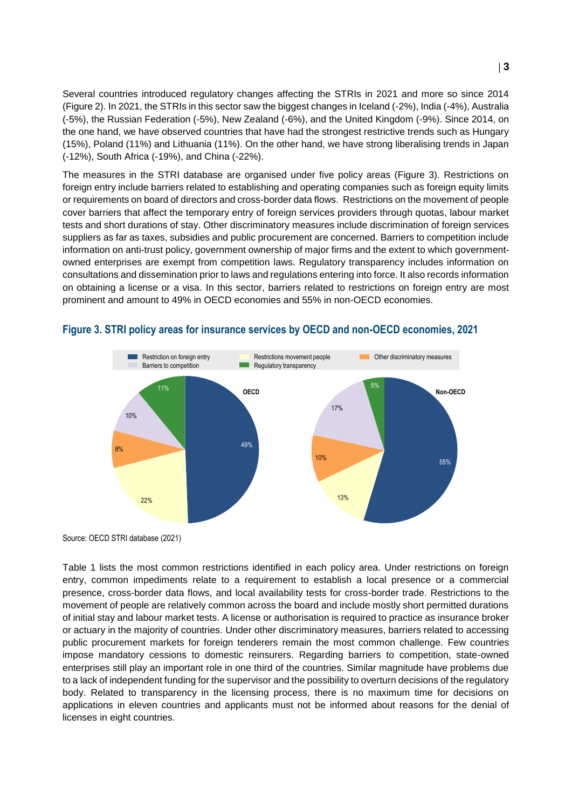Several countries introduced regulatory changes affecting the STRIs in 2021 and more so since 2014 (Figure 2). In 2021, the STRIs in this sector saw the biggest changes in Iceland (-2%), India (-4%), Australia (-5%), the Russian Federation (-5%), New Zealand (-6%), and the United Kingdom (-9%). Since 2014, on the one hand, we have observed countries that have had the strongest restrictive trends such as Hungary (15%), Poland (11%) and Lithuania (11%). On the other hand, we have strong liberalising trends in Japan (-12%), South Africa (-19%), and China (-22%).

The measures in the STRI database are organised under five policy areas (Figure 3). Restrictions on foreign entry include barriers related to establishing and operating companies such as foreign equity limits or requirements on board of directors and cross-border data flows. Restrictions on the movement of people cover barriers that affect the temporary entry of foreign services providers through quotas, labour market tests and short durations of stay. Other discriminatory measures include discrimination of foreign services suppliers as far as taxes, subsidies and public procurement are concerned. Barriers to competition include information on anti-trust policy, government ownership of major firms and the extent to which governmentowned enterprises are exempt from competition laws. Regulatory transparency includes information on consultations and dissemination prior to laws and regulations entering into force. It also records information on obtaining a license or a visa. In this sector, barriers related to restrictions on foreign entry are most prominent and amount to 49% in OECD economies and 55% in non-OECD economies.



#### **Figure 3. STRI policy areas for insurance services by OECD and non-OECD economies, 2021**

Source: OECD STRI database (2021)

Table 1 lists the most common restrictions identified in each policy area. Under restrictions on foreign entry, common impediments relate to a requirement to establish a local presence or a commercial presence, cross-border data flows, and local availability tests for cross-border trade. Restrictions to the movement of people are relatively common across the board and include mostly short permitted durations of initial stay and labour market tests. A license or authorisation is required to practice as insurance broker or actuary in the majority of countries. Under other discriminatory measures, barriers related to accessing public procurement markets for foreign tenderers remain the most common challenge. Few countries impose mandatory cessions to domestic reinsurers. Regarding barriers to competition, state-owned enterprises still play an important role in one third of the countries. Similar magnitude have problems due to a lack of independent funding for the supervisor and the possibility to overturn decisions of the regulatory body. Related to transparency in the licensing process, there is no maximum time for decisions on applications in eleven countries and applicants must not be informed about reasons for the denial of licenses in eight countries.